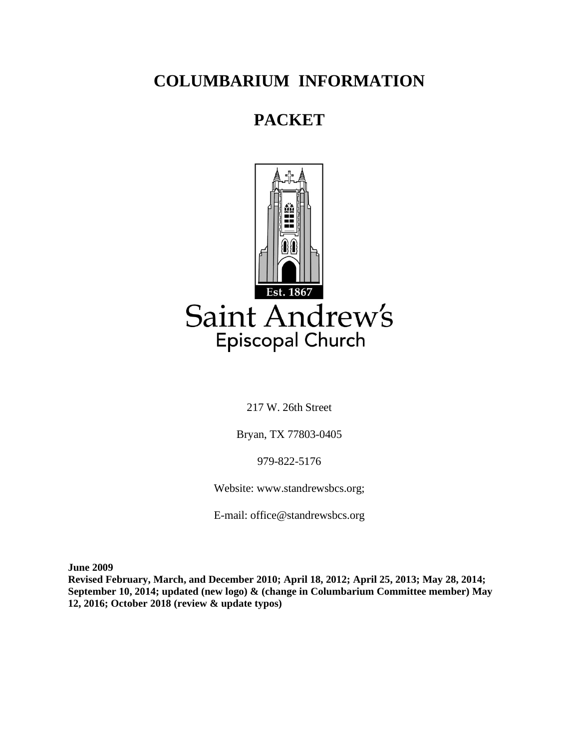# **COLUMBARIUM INFORMATION**

# **PACKET**



217 W. 26th Street

Bryan, TX 77803-0405

979-822-5176

Website: www.standrewsbcs.org;

E-mail: office@standrewsbcs.org

**June 2009**

**Revised February, March, and December 2010; April 18, 2012; April 25, 2013; May 28, 2014; September 10, 2014; updated (new logo) & (change in Columbarium Committee member) May 12, 2016; October 2018 (review & update typos)**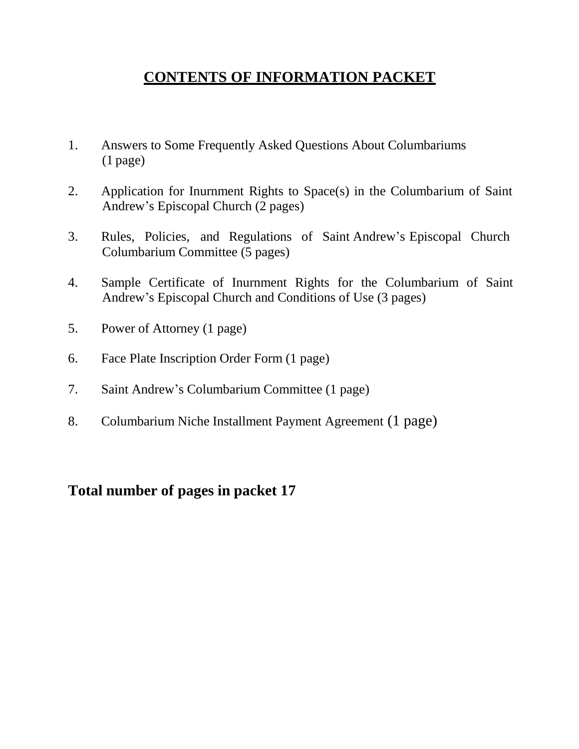## **CONTENTS OF INFORMATION PACKET**

- 1. Answers to Some Frequently Asked Questions About Columbariums (1 page)
- 2. Application for Inurnment Rights to Space(s) in the Columbarium of Saint Andrew's Episcopal Church (2 pages)
- 3. Rules, Policies, and Regulations of Saint Andrew's Episcopal Church Columbarium Committee (5 pages)
- 4. Sample Certificate of Inurnment Rights for the Columbarium of Saint Andrew's Episcopal Church and Conditions of Use (3 pages)
- 5. Power of Attorney (1 page)
- 6. Face Plate Inscription Order Form (1 page)
- 7. Saint Andrew's Columbarium Committee (1 page)
- 8. Columbarium Niche Installment Payment Agreement (1 page)

**Total number of pages in packet 17**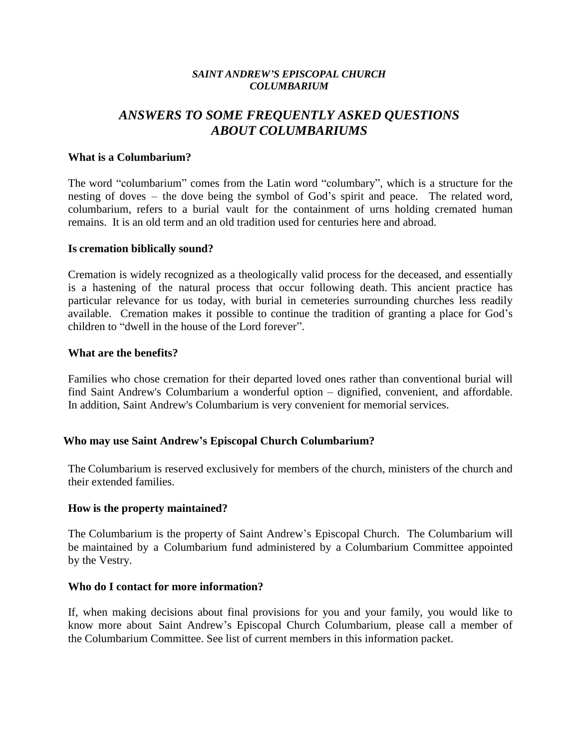#### *SAINT ANDREW'S EPISCOPAL CHURCH COLUMBARIUM*

## *ANSWERS TO SOME FREQUENTLY ASKED QUESTIONS ABOUT COLUMBARIUMS*

#### **What is a Columbarium?**

The word "columbarium" comes from the Latin word "columbary", which is a structure for the nesting of doves – the dove being the symbol of God's spirit and peace. The related word, columbarium, refers to a burial vault for the containment of urns holding cremated human remains. It is an old term and an old tradition used for centuries here and abroad.

#### **Is cremation biblically sound?**

Cremation is widely recognized as a theologically valid process for the deceased, and essentially is a hastening of the natural process that occur following death. This ancient practice has particular relevance for us today, with burial in cemeteries surrounding churches less readily available. Cremation makes it possible to continue the tradition of granting a place for God's children to "dwell in the house of the Lord forever".

#### **What are the benefits?**

Families who chose cremation for their departed loved ones rather than conventional burial will find Saint Andrew's Columbarium a wonderful option – dignified, convenient, and affordable. In addition, Saint Andrew's Columbarium is very convenient for memorial services.

## **Who may use Saint Andrew's Episcopal Church Columbarium?**

The Columbarium is reserved exclusively for members of the church, ministers of the church and their extended families.

#### **How is the property maintained?**

The Columbarium is the property of Saint Andrew's Episcopal Church. The Columbarium will be maintained by a Columbarium fund administered by a Columbarium Committee appointed by the Vestry.

#### **Who do I contact for more information?**

If, when making decisions about final provisions for you and your family, you would like to know more about Saint Andrew's Episcopal Church Columbarium, please call a member of the Columbarium Committee. See list of current members in this information packet.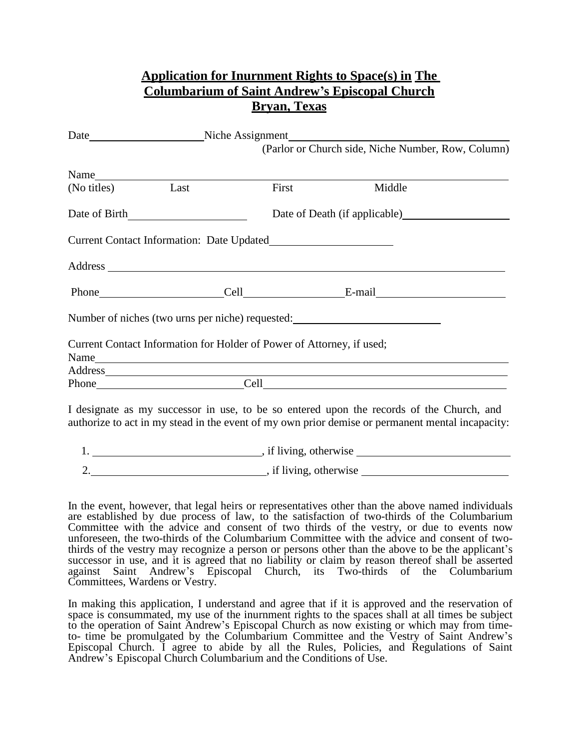|                  |               |                                                                       | <b>Application for Inurnment Rights to Space(s) in The</b><br><b>Columbarium of Saint Andrew's Episcopal Church</b>                                                                          |  |
|------------------|---------------|-----------------------------------------------------------------------|----------------------------------------------------------------------------------------------------------------------------------------------------------------------------------------------|--|
|                  |               | <b>Bryan, Texas</b>                                                   |                                                                                                                                                                                              |  |
|                  |               |                                                                       | (Parlor or Church side, Niche Number, Row, Column)                                                                                                                                           |  |
|                  |               |                                                                       |                                                                                                                                                                                              |  |
| (No titles) Last |               | First                                                                 | Middle                                                                                                                                                                                       |  |
|                  | Date of Birth |                                                                       | Date of Death (if applicable)                                                                                                                                                                |  |
|                  |               |                                                                       |                                                                                                                                                                                              |  |
|                  |               |                                                                       |                                                                                                                                                                                              |  |
|                  |               |                                                                       |                                                                                                                                                                                              |  |
|                  |               |                                                                       | Number of niches (two urns per niche) requested:                                                                                                                                             |  |
|                  |               | Current Contact Information for Holder of Power of Attorney, if used; |                                                                                                                                                                                              |  |
|                  |               |                                                                       |                                                                                                                                                                                              |  |
|                  |               |                                                                       |                                                                                                                                                                                              |  |
|                  |               |                                                                       | I designate as my successor in use, to be so entered upon the records of the Church, and<br>authorize to act in my stead in the event of my own prior demise or permanent mental incapacity: |  |
|                  |               |                                                                       |                                                                                                                                                                                              |  |

2. Solution of the same state of the state of the state of the state of the state of the state of the state of the state of the state of the state of the state of the state of the state of the state of the state of the sta

In the event, however, that legal heirs or representatives other than the above named individuals are established by due process of law, to the satisfaction of two-thirds of the Columbarium Committee with the advice and consent of two thirds of the vestry, or due to events now unforeseen, the two-thirds of the Columbarium Committee with the advice and consent of twothirds of the vestry may recognize a person or persons other than the above to be the applicant's successor in use, and it is agreed that no liability or claim by reason thereof shall be asserted against Saint Andrew's Episcopal Church, its Two-thirds of the Columbarium Committees, Wardens or Vestry.

In making this application, I understand and agree that if it is approved and the reservation of space is consummated, my use of the inurnment rights to the spaces shall at all times be subject to the operation of Saint Andrew's Episcopal Church as now existing or which may from timeto- time be promulgated by the Columbarium Committee and the Vestry of Saint Andrew's Episcopal Church. I agree to abide by all the Rules, Policies, and Regulations of Saint Andrew's Episcopal Church Columbarium and the Conditions of Use.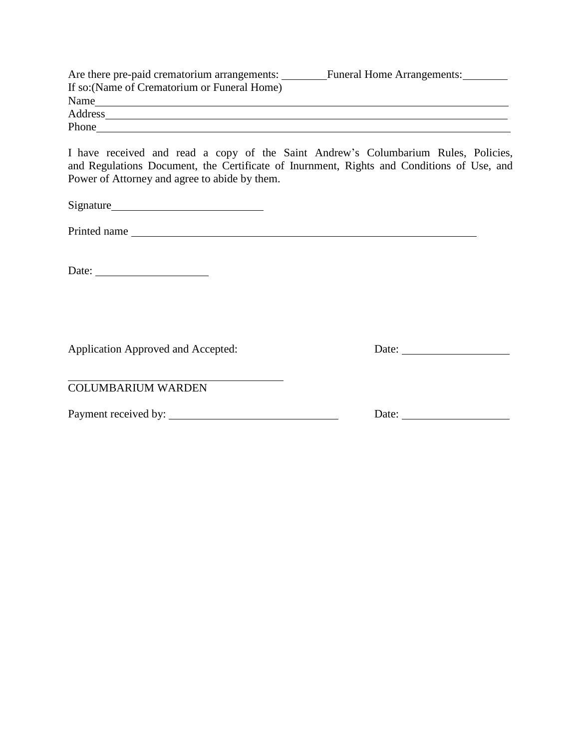| Are there pre-paid crematorium arrangements: | <b>Funeral Home Arrangements:</b> |
|----------------------------------------------|-----------------------------------|
| If so: (Name of Crematorium or Funeral Home) |                                   |
| Name                                         |                                   |
| Address                                      |                                   |
| Phone                                        |                                   |

I have received and read a copy of the Saint Andrew's Columbarium Rules, Policies, and Regulations Document, the Certificate of Inurnment, Rights and Conditions of Use, and Power of Attorney and agree to abide by them.

Signature

Printed name

Date:

Application Approved and Accepted: Date: Date:

COLUMBARIUM WARDEN

Payment received by: Date: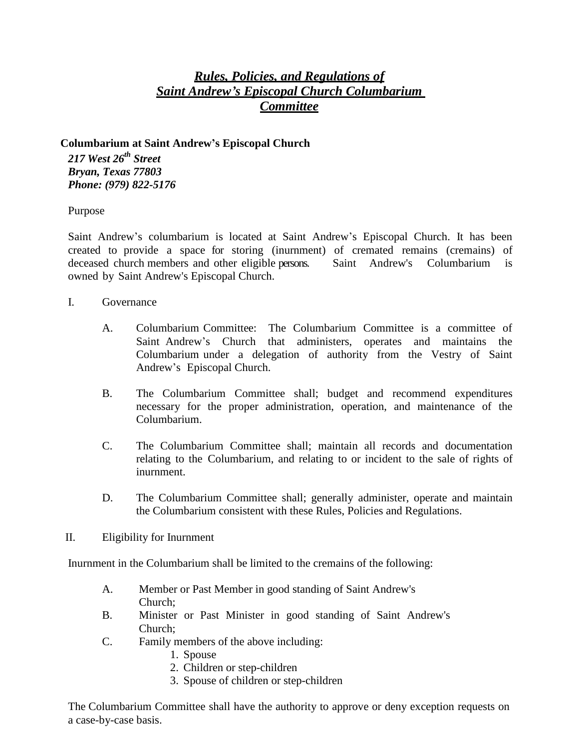## *Rules, Policies, and Regulations of Saint Andrew's Episcopal Church Columbarium Committee*

## **Columbarium at Saint Andrew's Episcopal Church**

*217 West 26th Street Bryan, Texas 77803 Phone: (979) 822-5176*

Purpose

Saint Andrew's columbarium is located at Saint Andrew's Episcopal Church. It has been created to provide a space for storing (inurnment) of cremated remains (cremains) of deceased church members and other eligible persons. Saint Andrew's Columbarium is owned by Saint Andrew's Episcopal Church.

- I. Governance
	- A. Columbarium Committee: The Columbarium Committee is a committee of Saint Andrew's Church that administers, operates and maintains the Columbarium under a delegation of authority from the Vestry of Saint Andrew's Episcopal Church.
	- B. The Columbarium Committee shall; budget and recommend expenditures necessary for the proper administration, operation, and maintenance of the Columbarium.
	- C. The Columbarium Committee shall; maintain all records and documentation relating to the Columbarium, and relating to or incident to the sale of rights of inurnment.
	- D. The Columbarium Committee shall; generally administer, operate and maintain the Columbarium consistent with these Rules, Policies and Regulations.
- II. Eligibility for Inurnment

Inurnment in the Columbarium shall be limited to the cremains of the following:

- A. Member or Past Member in good standing of Saint Andrew's Church;
- B. Minister or Past Minister in good standing of Saint Andrew's Church;
- C. Family members of the above including:
	- 1. Spouse
	- 2. Children or step-children
	- 3. Spouse of children or step-children

The Columbarium Committee shall have the authority to approve or deny exception requests on a case-by-case basis.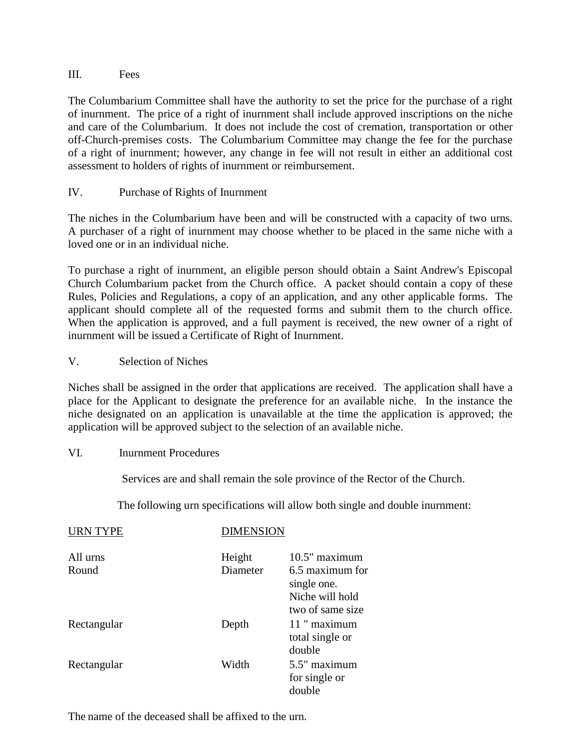## III. Fees

The Columbarium Committee shall have the authority to set the price for the purchase of a right of inurnment. The price of a right of inurnment shall include approved inscriptions on the niche and care of the Columbarium. It does not include the cost of cremation, transportation or other off-Church-premises costs. The Columbarium Committee may change the fee for the purchase of a right of inurnment; however, any change in fee will not result in either an additional cost assessment to holders of rights of inurnment or reimbursement.

## IV. Purchase of Rights of Inurnment

The niches in the Columbarium have been and will be constructed with a capacity of two urns. A purchaser of a right of inurnment may choose whether to be placed in the same niche with a loved one or in an individual niche.

To purchase a right of inurnment, an eligible person should obtain a Saint Andrew's Episcopal Church Columbarium packet from the Church office. A packet should contain a copy of these Rules, Policies and Regulations, a copy of an application, and any other applicable forms. The applicant should complete all of the requested forms and submit them to the church office. When the application is approved, and a full payment is received, the new owner of a right of inurnment will be issued a Certificate of Right of Inurnment.

## V. Selection of Niches

Niches shall be assigned in the order that applications are received. The application shall have a place for the Applicant to designate the preference for an available niche. In the instance the niche designated on an application is unavailable at the time the application is approved; the application will be approved subject to the selection of an available niche.

## VI. Inurnment Procedures

Services are and shall remain the sole province of the Rector of the Church.

The following urn specifications will allow both single and double inurnment:

| <b>URN TYPE</b>   | <b>DIMENSION</b>   |                                                                                          |
|-------------------|--------------------|------------------------------------------------------------------------------------------|
| All urns<br>Round | Height<br>Diameter | $10.5"$ maximum<br>6.5 maximum for<br>single one.<br>Niche will hold<br>two of same size |
| Rectangular       | Depth              | 11 " maximum<br>total single or<br>double                                                |
| Rectangular       | Width              | 5.5" maximum<br>for single or<br>double                                                  |

The name of the deceased shall be affixed to the urn.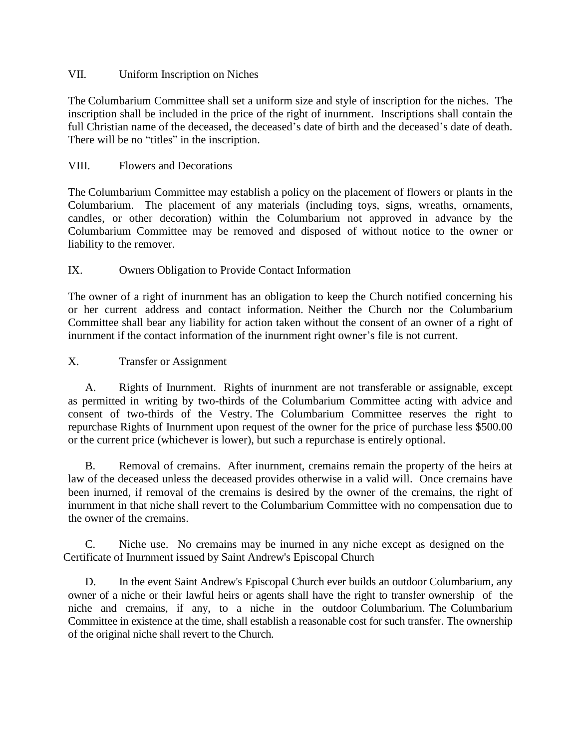## VII. Uniform Inscription on Niches

The Columbarium Committee shall set a uniform size and style of inscription for the niches. The inscription shall be included in the price of the right of inurnment. Inscriptions shall contain the full Christian name of the deceased, the deceased's date of birth and the deceased's date of death. There will be no "titles" in the inscription.

## VIII. Flowers and Decorations

The Columbarium Committee may establish a policy on the placement of flowers or plants in the Columbarium. The placement of any materials (including toys, signs, wreaths, ornaments, candles, or other decoration) within the Columbarium not approved in advance by the Columbarium Committee may be removed and disposed of without notice to the owner or liability to the remover.

## IX. Owners Obligation to Provide Contact Information

The owner of a right of inurnment has an obligation to keep the Church notified concerning his or her current address and contact information. Neither the Church nor the Columbarium Committee shall bear any liability for action taken without the consent of an owner of a right of inurnment if the contact information of the inurnment right owner's file is not current.

## X. Transfer or Assignment

A. Rights of Inurnment. Rights of inurnment are not transferable or assignable, except as permitted in writing by two-thirds of the Columbarium Committee acting with advice and consent of two-thirds of the Vestry. The Columbarium Committee reserves the right to repurchase Rights of Inurnment upon request of the owner for the price of purchase less \$500.00 or the current price (whichever is lower), but such a repurchase is entirely optional.

B. Removal of cremains. After inurnment, cremains remain the property of the heirs at law of the deceased unless the deceased provides otherwise in a valid will. Once cremains have been inurned, if removal of the cremains is desired by the owner of the cremains, the right of inurnment in that niche shall revert to the Columbarium Committee with no compensation due to the owner of the cremains.

C. Niche use. No cremains may be inurned in any niche except as designed on the Certificate of Inurnment issued by Saint Andrew's Episcopal Church

D. In the event Saint Andrew's Episcopal Church ever builds an outdoor Columbarium, any owner of a niche or their lawful heirs or agents shall have the right to transfer ownership of the niche and cremains, if any, to a niche in the outdoor Columbarium. The Columbarium Committee in existence at the time, shall establish a reasonable cost for such transfer. The ownership of the original niche shall revert to the Church.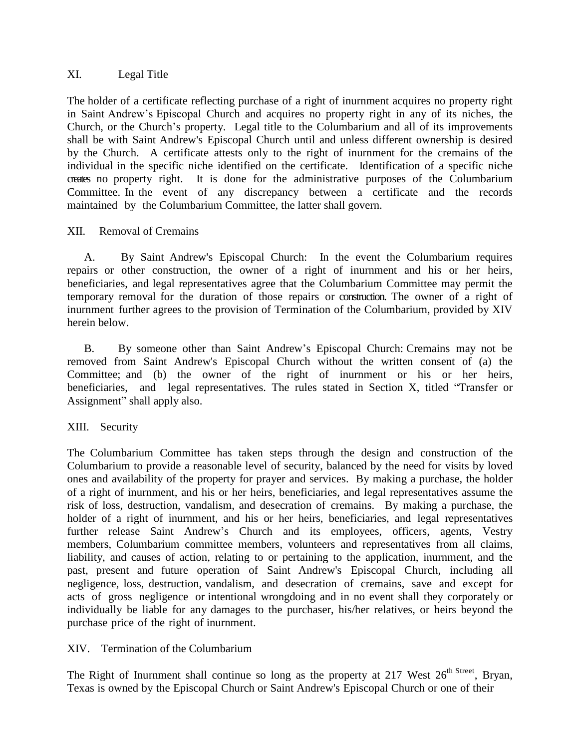## XI. Legal Title

The holder of a certificate reflecting purchase of a right of inurnment acquires no property right in Saint Andrew's Episcopal Church and acquires no property right in any of its niches, the Church, or the Church's property. Legal title to the Columbarium and all of its improvements shall be with Saint Andrew's Episcopal Church until and unless different ownership is desired by the Church. A certificate attests only to the right of inurnment for the cremains of the individual in the specific niche identified on the certificate. Identification of a specific niche creates no property right. It is done for the administrative purposes of the Columbarium Committee. In the event of any discrepancy between a certificate and the records maintained by the Columbarium Committee, the latter shall govern.

## XII. Removal of Cremains

A. By Saint Andrew's Episcopal Church: In the event the Columbarium requires repairs or other construction, the owner of a right of inurnment and his or her heirs, beneficiaries, and legal representatives agree that the Columbarium Committee may permit the temporary removal for the duration of those repairs or construction. The owner of a right of inurnment further agrees to the provision of Termination of the Columbarium, provided by XIV herein below.

B. By someone other than Saint Andrew's Episcopal Church: Cremains may not be removed from Saint Andrew's Episcopal Church without the written consent of (a) the Committee; and (b) the owner of the right of inurnment or his or her heirs, beneficiaries, and legal representatives. The rules stated in Section X, titled "Transfer or Assignment" shall apply also.

## XIII. Security

The Columbarium Committee has taken steps through the design and construction of the Columbarium to provide a reasonable level of security, balanced by the need for visits by loved ones and availability of the property for prayer and services. By making a purchase, the holder of a right of inurnment, and his or her heirs, beneficiaries, and legal representatives assume the risk of loss, destruction, vandalism, and desecration of cremains. By making a purchase, the holder of a right of inurnment, and his or her heirs, beneficiaries, and legal representatives further release Saint Andrew's Church and its employees, officers, agents, Vestry members, Columbarium committee members, volunteers and representatives from all claims, liability, and causes of action, relating to or pertaining to the application, inurnment, and the past, present and future operation of Saint Andrew's Episcopal Church, including all negligence, loss, destruction, vandalism, and desecration of cremains, save and except for acts of gross negligence or intentional wrongdoing and in no event shall they corporately or individually be liable for any damages to the purchaser, his/her relatives, or heirs beyond the purchase price of the right of inurnment.

XIV. Termination of the Columbarium

The Right of Inurnment shall continue so long as the property at 217 West  $26^{th \text{ Street}}$ , Bryan, Texas is owned by the Episcopal Church or Saint Andrew's Episcopal Church or one of their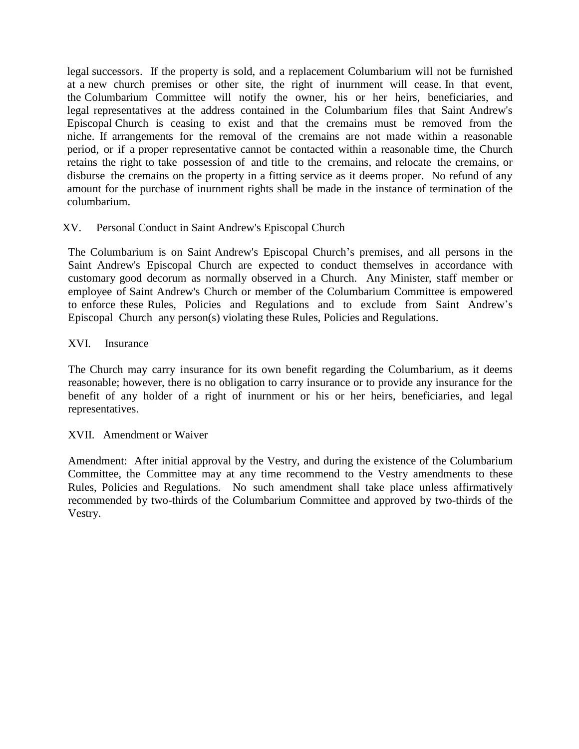legal successors. If the property is sold, and a replacement Columbarium will not be furnished at a new church premises or other site, the right of inurnment will cease. In that event, the Columbarium Committee will notify the owner, his or her heirs, beneficiaries, and legal representatives at the address contained in the Columbarium files that Saint Andrew's Episcopal Church is ceasing to exist and that the cremains must be removed from the niche. If arrangements for the removal of the cremains are not made within a reasonable period, or if a proper representative cannot be contacted within a reasonable time, the Church retains the right to take possession of and title to the cremains, and relocate the cremains, or disburse the cremains on the property in a fitting service as it deems proper. No refund of any amount for the purchase of inurnment rights shall be made in the instance of termination of the columbarium.

## XV. Personal Conduct in Saint Andrew's Episcopal Church

The Columbarium is on Saint Andrew's Episcopal Church's premises, and all persons in the Saint Andrew's Episcopal Church are expected to conduct themselves in accordance with customary good decorum as normally observed in a Church. Any Minister, staff member or employee of Saint Andrew's Church or member of the Columbarium Committee is empowered to enforce these Rules, Policies and Regulations and to exclude from Saint Andrew's Episcopal Church any person(s) violating these Rules, Policies and Regulations.

## XVI. Insurance

The Church may carry insurance for its own benefit regarding the Columbarium, as it deems reasonable; however, there is no obligation to carry insurance or to provide any insurance for the benefit of any holder of a right of inurnment or his or her heirs, beneficiaries, and legal representatives.

## XVII. Amendment or Waiver

Amendment: After initial approval by the Vestry, and during the existence of the Columbarium Committee, the Committee may at any time recommend to the Vestry amendments to these Rules, Policies and Regulations. No such amendment shall take place unless affirmatively recommended by two-thirds of the Columbarium Committee and approved by two-thirds of the Vestry.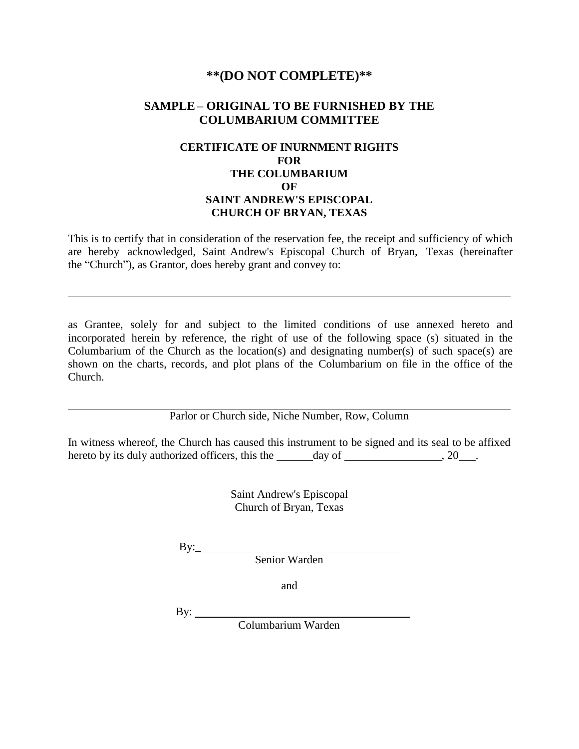## **\*\*(DO NOT COMPLETE)\*\***

## **SAMPLE – ORIGINAL TO BE FURNISHED BY THE COLUMBARIUM COMMITTEE**

## **CERTIFICATE OF INURNMENT RIGHTS FOR THE COLUMBARIUM OF SAINT ANDREW'S EPISCOPAL CHURCH OF BRYAN, TEXAS**

This is to certify that in consideration of the reservation fee, the receipt and sufficiency of which are hereby acknowledged, Saint Andrew's Episcopal Church of Bryan, Texas (hereinafter the "Church"), as Grantor, does hereby grant and convey to:

as Grantee, solely for and subject to the limited conditions of use annexed hereto and incorporated herein by reference, the right of use of the following space (s) situated in the Columbarium of the Church as the location(s) and designating number(s) of such space(s) are shown on the charts, records, and plot plans of the Columbarium on file in the office of the Church.

Parlor or Church side, Niche Number, Row, Column

In witness whereof, the Church has caused this instrument to be signed and its seal to be affixed hereto by its duly authorized officers, this the day of , 20 .

> Saint Andrew's Episcopal Church of Bryan, Texas

By:\_

Senior Warden

and

By:  $\qquad \qquad$ 

Columbarium Warden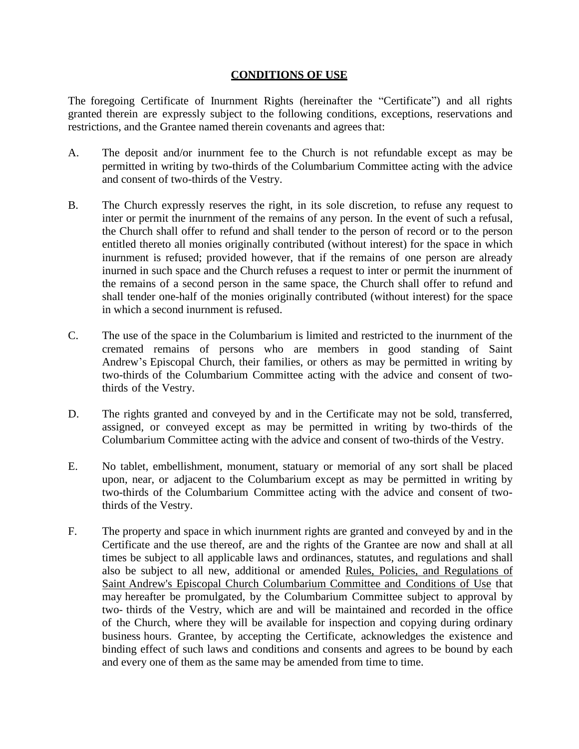## **CONDITIONS OF USE**

The foregoing Certificate of Inurnment Rights (hereinafter the "Certificate") and all rights granted therein are expressly subject to the following conditions, exceptions, reservations and restrictions, and the Grantee named therein covenants and agrees that:

- A. The deposit and/or inurnment fee to the Church is not refundable except as may be permitted in writing by two-thirds of the Columbarium Committee acting with the advice and consent of two-thirds of the Vestry.
- B. The Church expressly reserves the right, in its sole discretion, to refuse any request to inter or permit the inurnment of the remains of any person. In the event of such a refusal, the Church shall offer to refund and shall tender to the person of record or to the person entitled thereto all monies originally contributed (without interest) for the space in which inurnment is refused; provided however, that if the remains of one person are already inurned in such space and the Church refuses a request to inter or permit the inurnment of the remains of a second person in the same space, the Church shall offer to refund and shall tender one-half of the monies originally contributed (without interest) for the space in which a second inurnment is refused.
- C. The use of the space in the Columbarium is limited and restricted to the inurnment of the cremated remains of persons who are members in good standing of Saint Andrew's Episcopal Church, their families, or others as may be permitted in writing by two-thirds of the Columbarium Committee acting with the advice and consent of twothirds of the Vestry.
- D. The rights granted and conveyed by and in the Certificate may not be sold, transferred, assigned, or conveyed except as may be permitted in writing by two-thirds of the Columbarium Committee acting with the advice and consent of two-thirds of the Vestry.
- E. No tablet, embellishment, monument, statuary or memorial of any sort shall be placed upon, near, or adjacent to the Columbarium except as may be permitted in writing by two-thirds of the Columbarium Committee acting with the advice and consent of twothirds of the Vestry.
- F. The property and space in which inurnment rights are granted and conveyed by and in the Certificate and the use thereof, are and the rights of the Grantee are now and shall at all times be subject to all applicable laws and ordinances, statutes, and regulations and shall also be subject to all new, additional or amended Rules, Policies, and Regulations of Saint Andrew's Episcopal Church Columbarium Committee and Conditions of Use that may hereafter be promulgated, by the Columbarium Committee subject to approval by two- thirds of the Vestry, which are and will be maintained and recorded in the office of the Church, where they will be available for inspection and copying during ordinary business hours. Grantee, by accepting the Certificate, acknowledges the existence and binding effect of such laws and conditions and consents and agrees to be bound by each and every one of them as the same may be amended from time to time.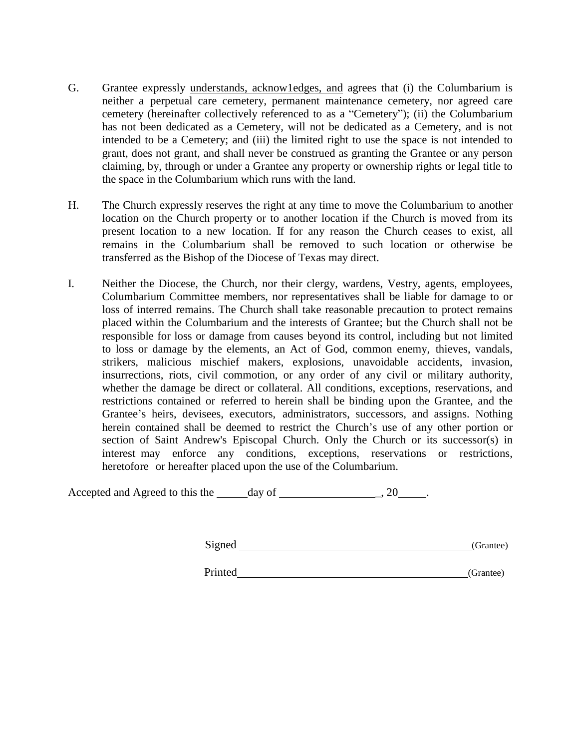- G. Grantee expressly understands, acknow1edges, and agrees that (i) the Columbarium is neither a perpetual care cemetery, permanent maintenance cemetery, nor agreed care cemetery (hereinafter collectively referenced to as a "Cemetery"); (ii) the Columbarium has not been dedicated as a Cemetery, will not be dedicated as a Cemetery, and is not intended to be a Cemetery; and (iii) the limited right to use the space is not intended to grant, does not grant, and shall never be construed as granting the Grantee or any person claiming, by, through or under a Grantee any property or ownership rights or legal title to the space in the Columbarium which runs with the land.
- H. The Church expressly reserves the right at any time to move the Columbarium to another location on the Church property or to another location if the Church is moved from its present location to a new location. If for any reason the Church ceases to exist, all remains in the Columbarium shall be removed to such location or otherwise be transferred as the Bishop of the Diocese of Texas may direct.
- I. Neither the Diocese, the Church, nor their clergy, wardens, Vestry, agents, employees, Columbarium Committee members, nor representatives shall be liable for damage to or loss of interred remains. The Church shall take reasonable precaution to protect remains placed within the Columbarium and the interests of Grantee; but the Church shall not be responsible for loss or damage from causes beyond its control, including but not limited to loss or damage by the elements, an Act of God, common enemy, thieves, vandals, strikers, malicious mischief makers, explosions, unavoidable accidents, invasion, insurrections, riots, civil commotion, or any order of any civil or military authority, whether the damage be direct or collateral. All conditions, exceptions, reservations, and restrictions contained or referred to herein shall be binding upon the Grantee, and the Grantee's heirs, devisees, executors, administrators, successors, and assigns. Nothing herein contained shall be deemed to restrict the Church's use of any other portion or section of Saint Andrew's Episcopal Church. Only the Church or its successor(s) in interest may enforce any conditions, exceptions, reservations or restrictions, heretofore or hereafter placed upon the use of the Columbarium.

Accepted and Agreed to this the day of  $\frac{1}{2}$ , 20  $\frac{1}{2}$ .

Signed (Grantee) (Grantee)

Printed (Grantee)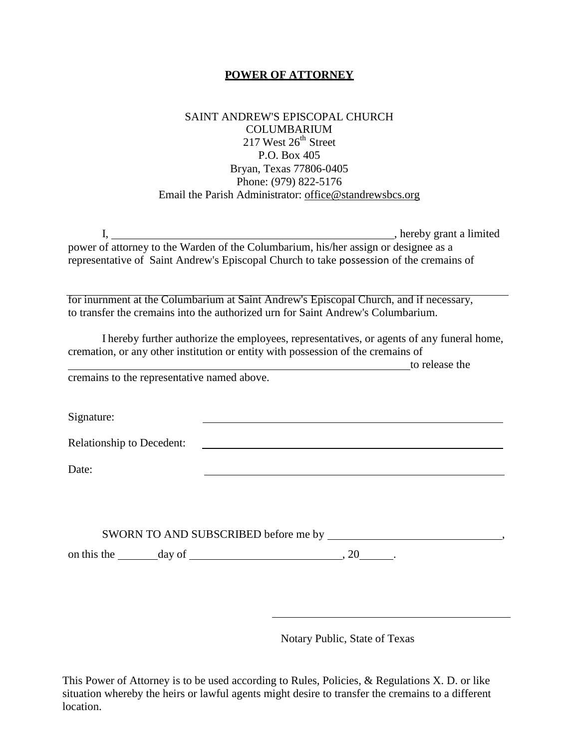## **POWER OF ATTORNEY**

## SAINT ANDREW'S EPISCOPAL CHURCH COLUMBARIUM 217 West 26<sup>th</sup> Street P.O. Box 405 Bryan, Texas 77806-0405 Phone: (979) 822-5176 Email the Parish Administrator: office@standrewsbcs.org

| , hereby grant a limited                                                                |
|-----------------------------------------------------------------------------------------|
| power of attorney to the Warden of the Columbarium, his/her assign or designee as a     |
| representative of Saint Andrew's Episcopal Church to take possession of the cremains of |

for inurnment at the Columbarium at Saint Andrew's Episcopal Church, and if necessary, to transfer the cremains into the authorized urn for Saint Andrew's Columbarium.

I hereby further authorize the employees, representatives, or agents of any funeral home, cremation, or any other institution or entity with possession of the cremains of

to release the

cremains to the representative named above.

Signature:

Relationship to Decedent:

Date:

|             |        | SWORN TO AND SUBSCRIBED before me by |                          |  |  |
|-------------|--------|--------------------------------------|--------------------------|--|--|
| on this the | dav of |                                      | $\overline{\phantom{a}}$ |  |  |

Notary Public, State of Texas

This Power of Attorney is to be used according to Rules, Policies, & Regulations X. D. or like situation whereby the heirs or lawful agents might desire to transfer the cremains to a different location.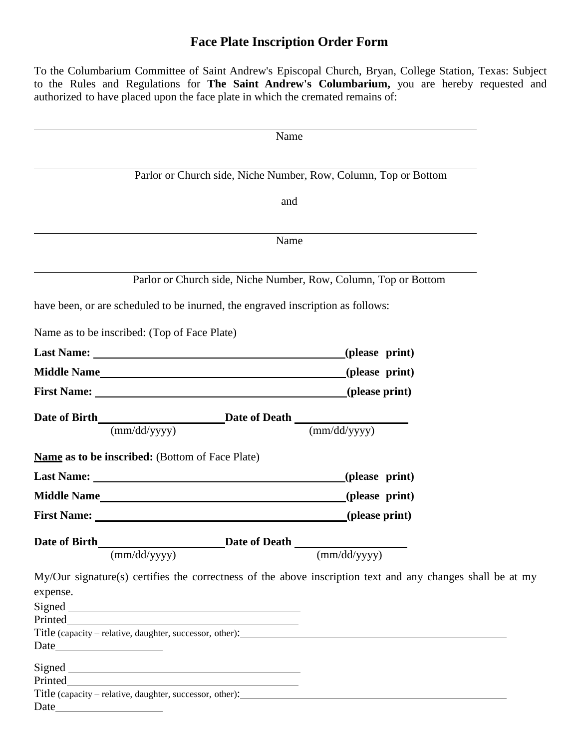## **Face Plate Inscription Order Form**

To the Columbarium Committee of Saint Andrew's Episcopal Church, Bryan, College Station, Texas: Subject to the Rules and Regulations for **The Saint Andrew's Columbarium,** you are hereby requested and authorized to have placed upon the face plate in which the cremated remains of:

|                                                                                 | Name                                                                                                       |
|---------------------------------------------------------------------------------|------------------------------------------------------------------------------------------------------------|
|                                                                                 | Parlor or Church side, Niche Number, Row, Column, Top or Bottom                                            |
|                                                                                 | and                                                                                                        |
|                                                                                 | Name                                                                                                       |
|                                                                                 | Parlor or Church side, Niche Number, Row, Column, Top or Bottom                                            |
| have been, or are scheduled to be inurned, the engraved inscription as follows: |                                                                                                            |
| Name as to be inscribed: (Top of Face Plate)                                    |                                                                                                            |
|                                                                                 | (please print)                                                                                             |
| Middle Name (please print)                                                      |                                                                                                            |
|                                                                                 |                                                                                                            |
| Date of Birth Date of Death $\frac{\text{Date of Death}}{(mm/dd/yyyy)}$         |                                                                                                            |
| <b>Name as to be inscribed:</b> (Bottom of Face Plate)                          |                                                                                                            |
|                                                                                 | (please print)                                                                                             |
|                                                                                 | (please print)                                                                                             |
|                                                                                 |                                                                                                            |
| Date of Birth                                                                   | Date of Death                                                                                              |
| (mm/dd/yyyy)                                                                    | (mm/dd/yyyy)                                                                                               |
| expense.                                                                        | My/Our signature(s) certifies the correctness of the above inscription text and any changes shall be at my |
|                                                                                 |                                                                                                            |
|                                                                                 |                                                                                                            |
|                                                                                 |                                                                                                            |
|                                                                                 |                                                                                                            |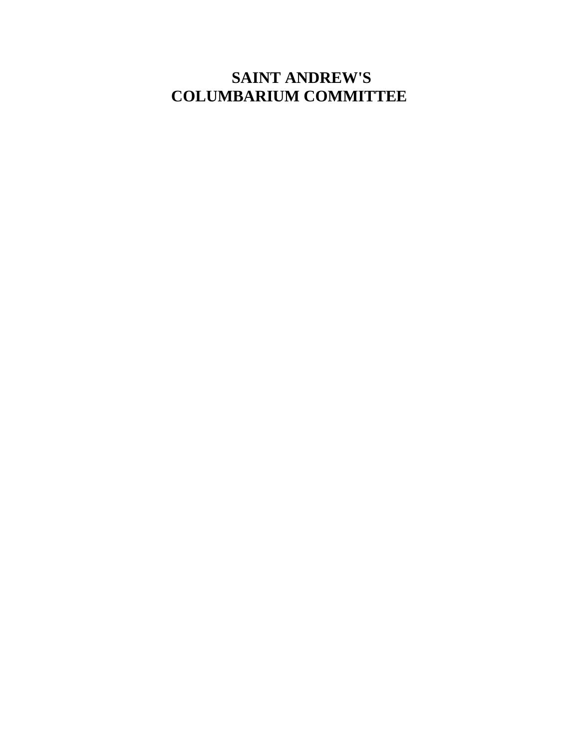## **SAINT ANDREW'S COLUMBARIUM COMMITTEE**